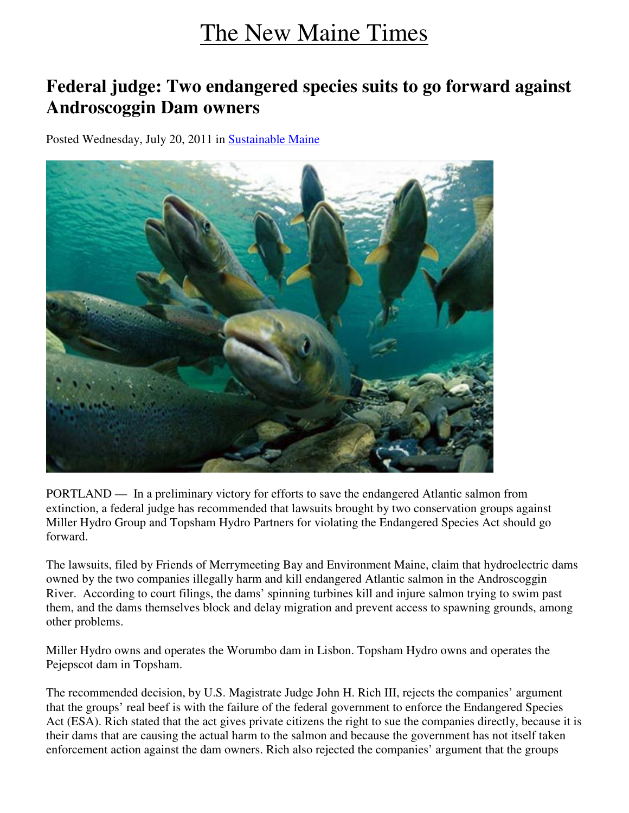## The New Maine Times

## **Federal judge: Two endangered species suits to go forward against Androscoggin Dam owners**

Posted Wednesday, July 20, 2011 in Sustainable Maine



PORTLAND — In a preliminary victory for efforts to save the endangered Atlantic salmon from extinction, a federal judge has recommended that lawsuits brought by two conservation groups against Miller Hydro Group and Topsham Hydro Partners for violating the Endangered Species Act should go forward.

The lawsuits, filed by Friends of Merrymeeting Bay and Environment Maine, claim that hydroelectric dams owned by the two companies illegally harm and kill endangered Atlantic salmon in the Androscoggin River. According to court filings, the dams' spinning turbines kill and injure salmon trying to swim past them, and the dams themselves block and delay migration and prevent access to spawning grounds, among other problems.

Miller Hydro owns and operates the Worumbo dam in Lisbon. Topsham Hydro owns and operates the Pejepscot dam in Topsham.

The recommended decision, by U.S. Magistrate Judge John H. Rich III, rejects the companies' argument that the groups' real beef is with the failure of the federal government to enforce the Endangered Species Act (ESA). Rich stated that the act gives private citizens the right to sue the companies directly, because it is their dams that are causing the actual harm to the salmon and because the government has not itself taken enforcement action against the dam owners. Rich also rejected the companies' argument that the groups